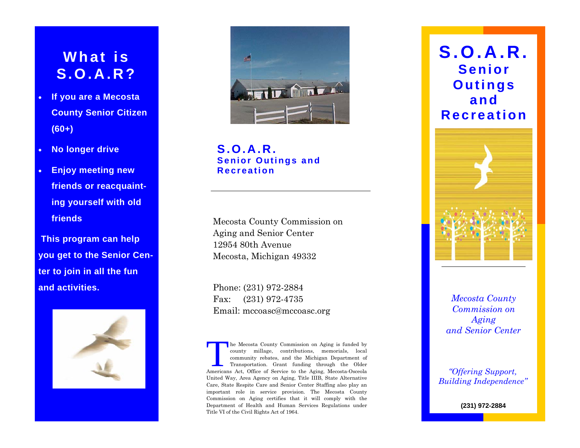# **What is S.O.A.R?**

- **If you are a Mecosta County Senior Citizen (60+)**
- **No longer drive**
- **Enjoy meeting new friends or reacquainting yourself with old friends**

 **This program can help you get to the Senior Center to join in all the fun and activities.** 





**S.O.A.R. Senior Outings and Recreation** 

Mecosta County Commission on Aging and Senior Center 12954 80th Avenue Mecosta, Michigan 49332

Phone: (231) 972-2884 Fax: (231) 972-4735 Email: mccoasc@mccoasc.org

The Mecosta County Commission on Aging is funded by county millage, contributions, memorials, local community rebates, and the Michigan Department of Transportation. Grant funding through the Older Americans Act, Office of Service to the Aging, Mecosta-Osceola United Way, Area Agency on Aging, Title IIIB, State Alternative Care, State Respite Care and Senior Center Staffing also play an important role in service provision. The Mecosta County Commission on Aging certifies that it will comply with the Department of Health and Human Services Regulations under Title VI of the Civil Rights Act of 1964.





*Mecosta County Commission on Aging and Senior Center* 

*"Offering Support, Building Independence"* 

**(231) 972-2884**